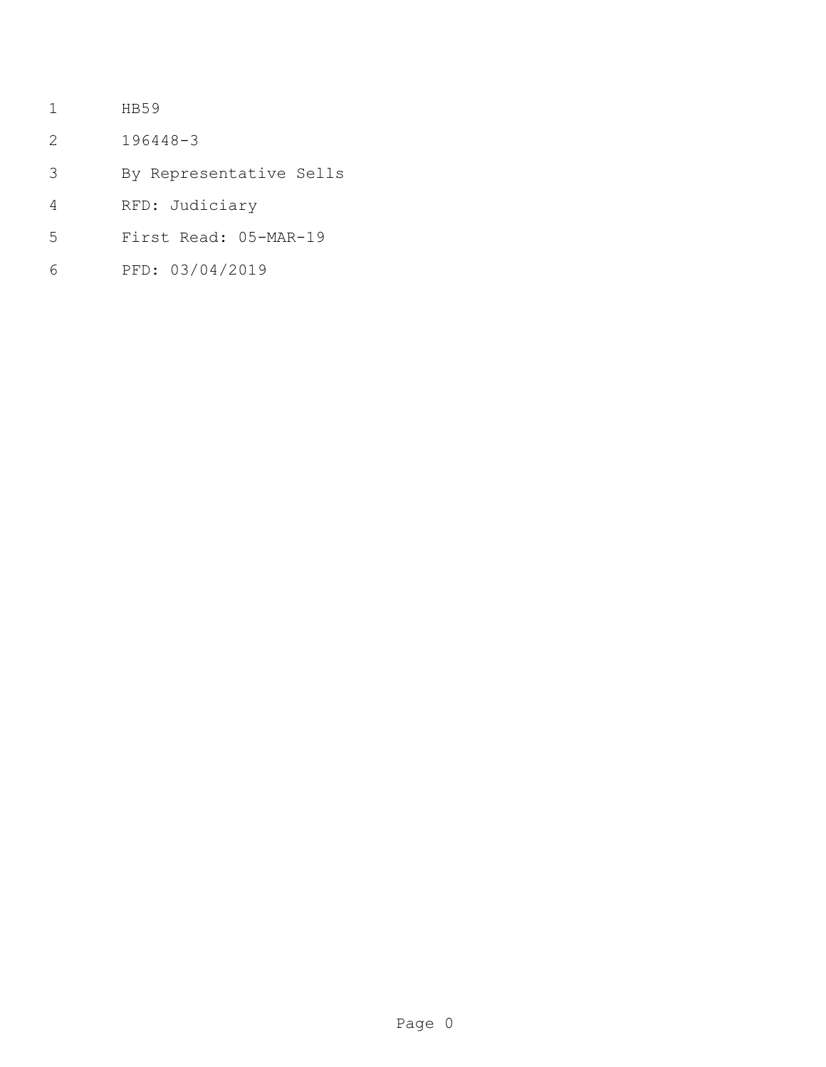- HB59
- 196448-3
- By Representative Sells
- RFD: Judiciary
- First Read: 05-MAR-19
- PFD: 03/04/2019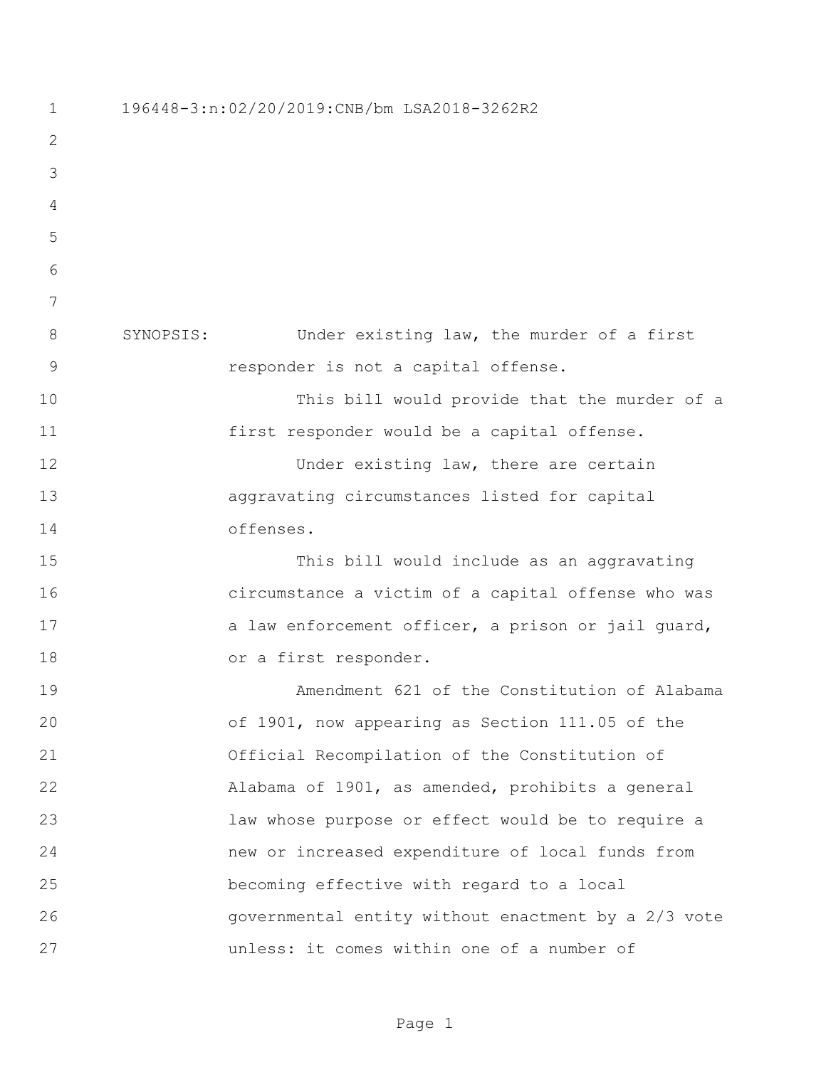196448-3:n:02/20/2019:CNB/bm LSA2018-3262R2 SYNOPSIS: Under existing law, the murder of a first responder is not a capital offense. This bill would provide that the murder of a first responder would be a capital offense. 12 Under existing law, there are certain aggravating circumstances listed for capital offenses. This bill would include as an aggravating circumstance a victim of a capital offense who was 17 a law enforcement officer, a prison or jail quard, 18 or a first responder. Amendment 621 of the Constitution of Alabama of 1901, now appearing as Section 111.05 of the Official Recompilation of the Constitution of Alabama of 1901, as amended, prohibits a general law whose purpose or effect would be to require a new or increased expenditure of local funds from becoming effective with regard to a local governmental entity without enactment by a 2/3 vote unless: it comes within one of a number of

Page 1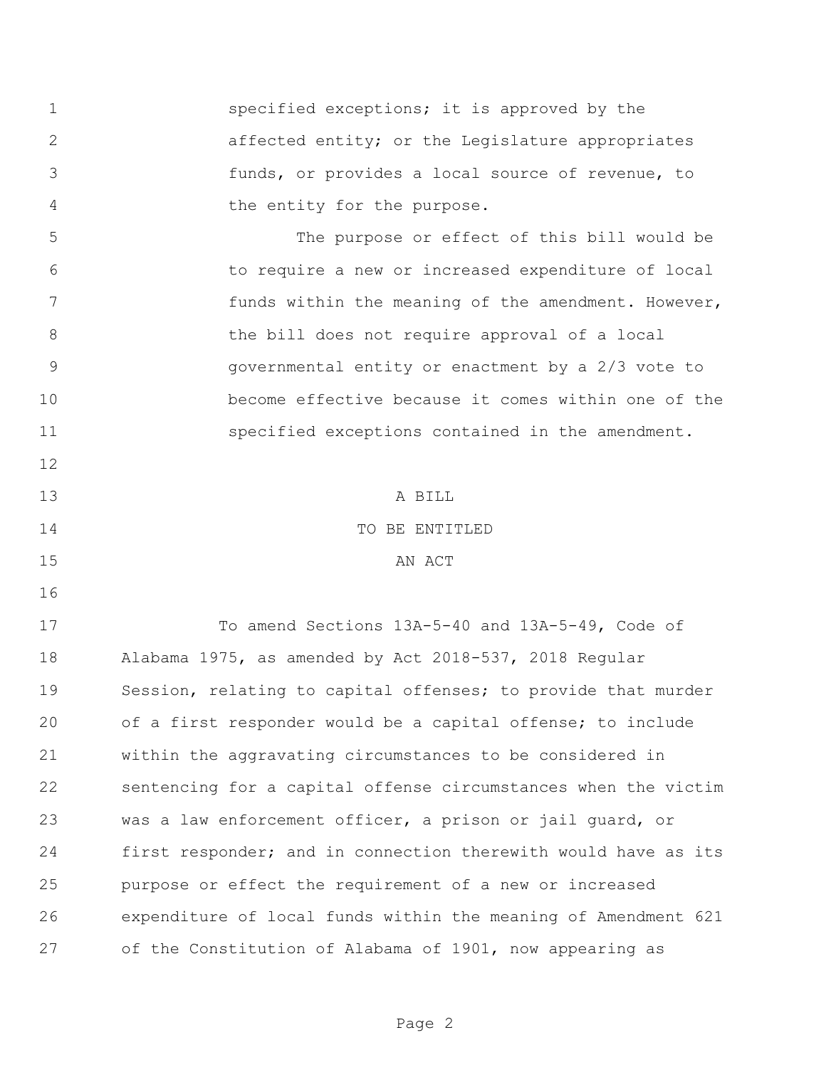**specified exceptions;** it is approved by the affected entity; or the Legislature appropriates funds, or provides a local source of revenue, to the entity for the purpose.

 The purpose or effect of this bill would be to require a new or increased expenditure of local 7 funds within the meaning of the amendment. However, 8 bill does not require approval of a local governmental entity or enactment by a 2/3 vote to become effective because it comes within one of the 11 specified exceptions contained in the amendment.

 A BILL TO BE ENTITLED 15 AN ACT

 To amend Sections 13A-5-40 and 13A-5-49, Code of Alabama 1975, as amended by Act 2018-537, 2018 Regular Session, relating to capital offenses; to provide that murder of a first responder would be a capital offense; to include within the aggravating circumstances to be considered in sentencing for a capital offense circumstances when the victim was a law enforcement officer, a prison or jail guard, or first responder; and in connection therewith would have as its purpose or effect the requirement of a new or increased expenditure of local funds within the meaning of Amendment 621 of the Constitution of Alabama of 1901, now appearing as

Page 2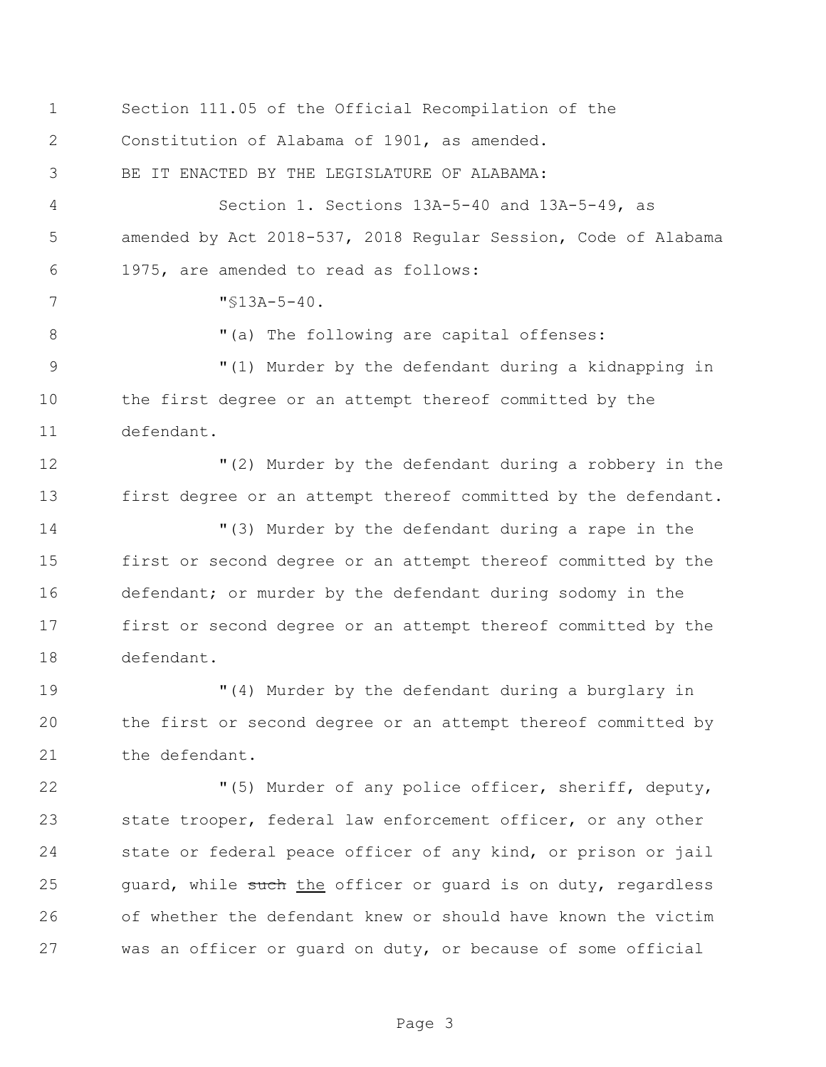| $\mathbf 1$    | Section 111.05 of the Official Recompilation of the            |
|----------------|----------------------------------------------------------------|
| 2              | Constitution of Alabama of 1901, as amended.                   |
| 3              | BE IT ENACTED BY THE LEGISLATURE OF ALABAMA:                   |
| 4              | Section 1. Sections 13A-5-40 and 13A-5-49, as                  |
| 5              | amended by Act 2018-537, 2018 Regular Session, Code of Alabama |
| 6              | 1975, are amended to read as follows:                          |
| 7              | $"$13A-5-40.$                                                  |
| 8              | "(a) The following are capital offenses:                       |
| $\overline{9}$ | "(1) Murder by the defendant during a kidnapping in            |
| 10             | the first degree or an attempt thereof committed by the        |
| 11             | defendant.                                                     |
| 12             | "(2) Murder by the defendant during a robbery in the           |
| 13             | first degree or an attempt thereof committed by the defendant. |
| 14             | "(3) Murder by the defendant during a rape in the              |
| 15             | first or second degree or an attempt thereof committed by the  |
| 16             | defendant; or murder by the defendant during sodomy in the     |
| 17             | first or second degree or an attempt thereof committed by the  |
| 18             | defendant.                                                     |
| 19             | "(4) Murder by the defendant during a burglary in              |
| 20             | the first or second degree or an attempt thereof committed by  |
| 21             | the defendant.                                                 |
| 22             | "(5) Murder of any police officer, sheriff, deputy,            |
| 23             | state trooper, federal law enforcement officer, or any other   |
| 24             | state or federal peace officer of any kind, or prison or jail  |
| 25             | guard, while such the officer or guard is on duty, regardless  |
| 26             | of whether the defendant knew or should have known the victim  |
| 27             | was an officer or guard on duty, or because of some official   |

Page 3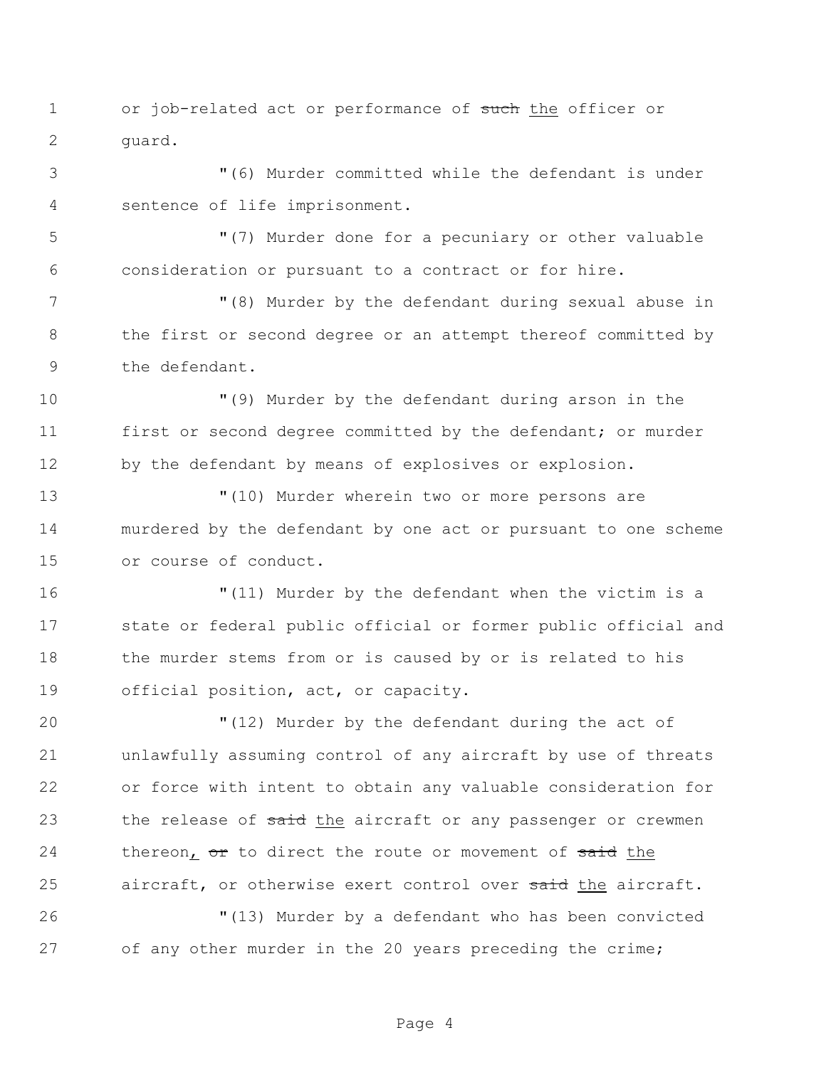- 1 or job-related act or performance of such the officer or guard.
- "(6) Murder committed while the defendant is under sentence of life imprisonment.

 "(7) Murder done for a pecuniary or other valuable consideration or pursuant to a contract or for hire.

 "(8) Murder by the defendant during sexual abuse in the first or second degree or an attempt thereof committed by the defendant.

 "(9) Murder by the defendant during arson in the 11 first or second degree committed by the defendant; or murder by the defendant by means of explosives or explosion.

 "(10) Murder wherein two or more persons are murdered by the defendant by one act or pursuant to one scheme or course of conduct.

 "(11) Murder by the defendant when the victim is a state or federal public official or former public official and 18 the murder stems from or is caused by or is related to his official position, act, or capacity.

 "(12) Murder by the defendant during the act of unlawfully assuming control of any aircraft by use of threats or force with intent to obtain any valuable consideration for 23 the release of said the aircraft or any passenger or crewmen 24 thereon, or to direct the route or movement of said the 25 aircraft, or otherwise exert control over said the aircraft.

 "(13) Murder by a defendant who has been convicted of any other murder in the 20 years preceding the crime;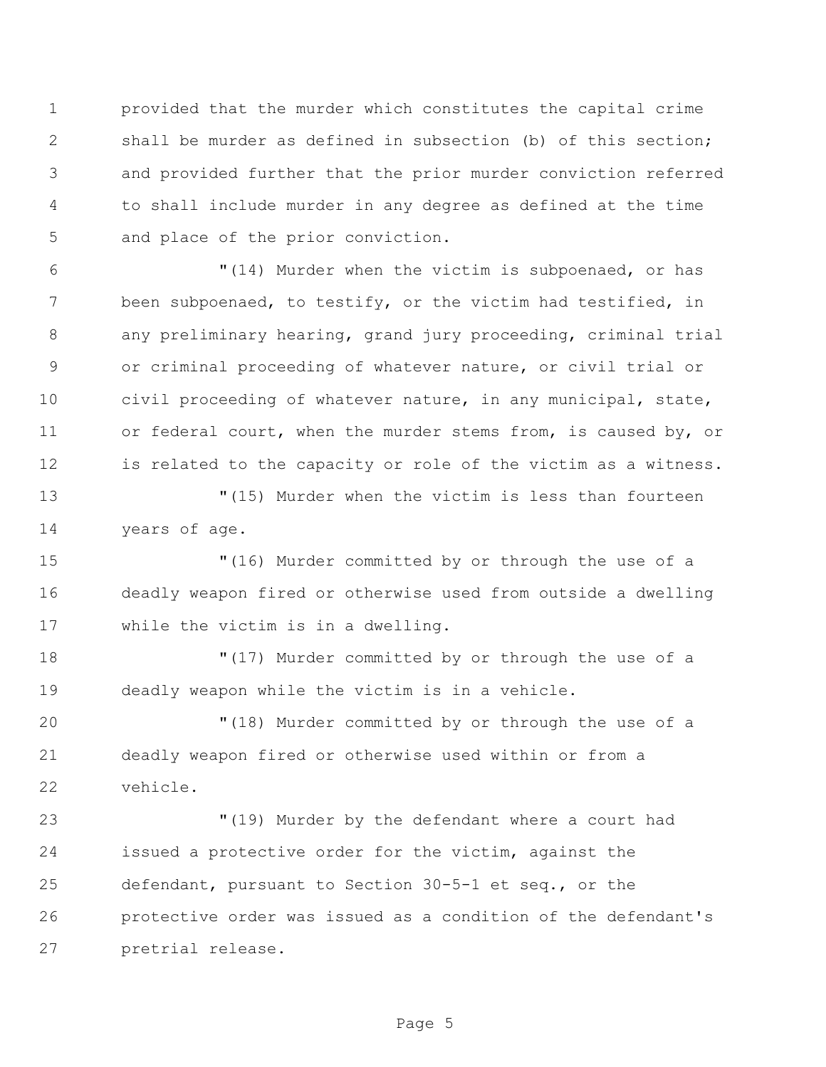provided that the murder which constitutes the capital crime shall be murder as defined in subsection (b) of this section; and provided further that the prior murder conviction referred to shall include murder in any degree as defined at the time and place of the prior conviction.

 "(14) Murder when the victim is subpoenaed, or has been subpoenaed, to testify, or the victim had testified, in any preliminary hearing, grand jury proceeding, criminal trial or criminal proceeding of whatever nature, or civil trial or civil proceeding of whatever nature, in any municipal, state, or federal court, when the murder stems from, is caused by, or is related to the capacity or role of the victim as a witness.

 "(15) Murder when the victim is less than fourteen years of age.

 "(16) Murder committed by or through the use of a deadly weapon fired or otherwise used from outside a dwelling while the victim is in a dwelling.

 "(17) Murder committed by or through the use of a deadly weapon while the victim is in a vehicle.

 "(18) Murder committed by or through the use of a deadly weapon fired or otherwise used within or from a vehicle.

 "(19) Murder by the defendant where a court had issued a protective order for the victim, against the defendant, pursuant to Section 30-5-1 et seq., or the protective order was issued as a condition of the defendant's pretrial release.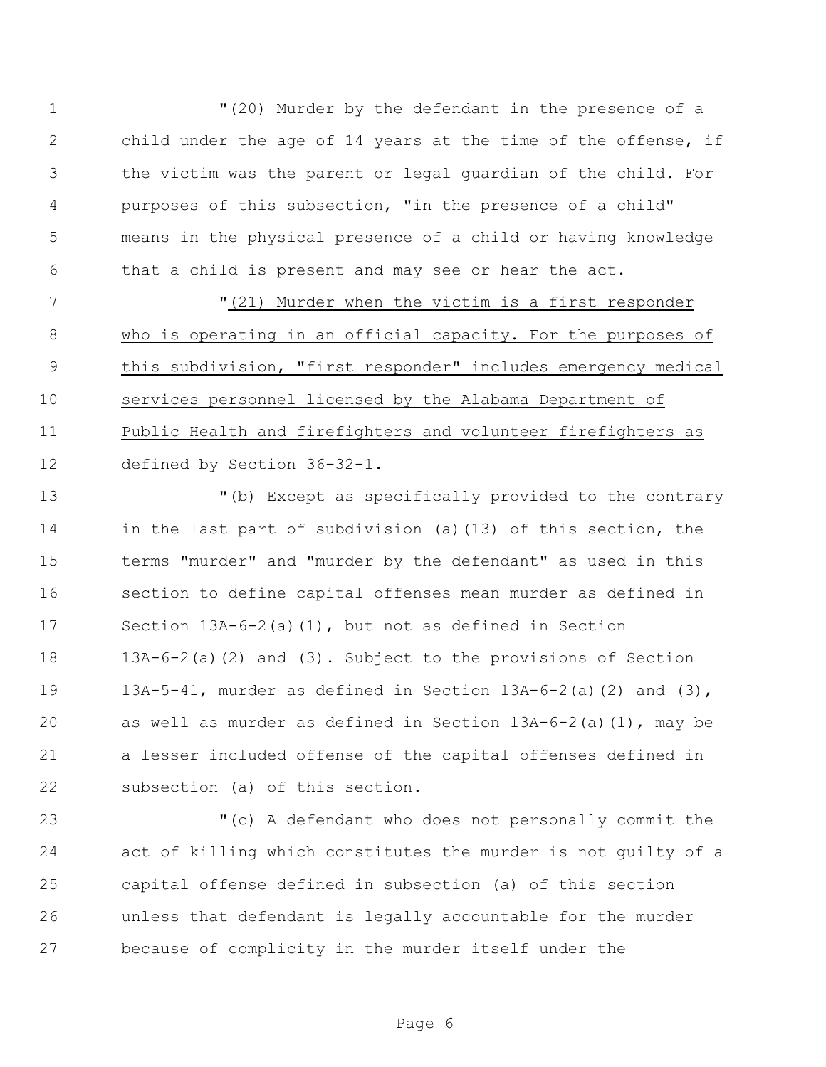"(20) Murder by the defendant in the presence of a child under the age of 14 years at the time of the offense, if the victim was the parent or legal guardian of the child. For purposes of this subsection, "in the presence of a child" means in the physical presence of a child or having knowledge that a child is present and may see or hear the act.

 "(21) Murder when the victim is a first responder 8 who is operating in an official capacity. For the purposes of this subdivision, "first responder" includes emergency medical services personnel licensed by the Alabama Department of Public Health and firefighters and volunteer firefighters as defined by Section 36-32-1.

 "(b) Except as specifically provided to the contrary in the last part of subdivision (a)(13) of this section, the terms "murder" and "murder by the defendant" as used in this section to define capital offenses mean murder as defined in Section 13A-6-2(a)(1), but not as defined in Section 13A-6-2(a)(2) and (3). Subject to the provisions of Section 13A-5-41, murder as defined in Section 13A-6-2(a)(2) and (3), as well as murder as defined in Section 13A-6-2(a)(1), may be a lesser included offense of the capital offenses defined in subsection (a) of this section.

 "(c) A defendant who does not personally commit the act of killing which constitutes the murder is not guilty of a capital offense defined in subsection (a) of this section unless that defendant is legally accountable for the murder because of complicity in the murder itself under the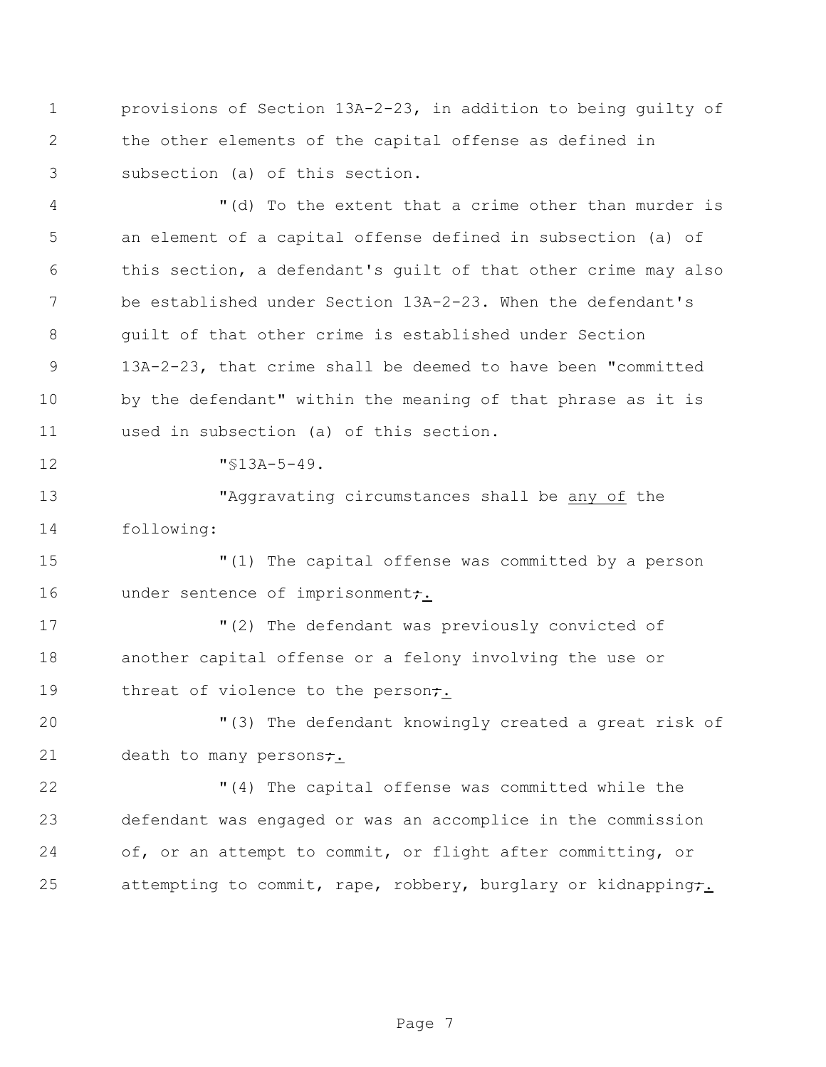provisions of Section 13A-2-23, in addition to being guilty of the other elements of the capital offense as defined in subsection (a) of this section.

 "(d) To the extent that a crime other than murder is an element of a capital offense defined in subsection (a) of this section, a defendant's guilt of that other crime may also be established under Section 13A-2-23. When the defendant's guilt of that other crime is established under Section 13A-2-23, that crime shall be deemed to have been "committed by the defendant" within the meaning of that phrase as it is used in subsection (a) of this section.

12  $\text{``}$  \\$13A-5-49.

 "Aggravating circumstances shall be any of the following:

 "(1) The capital offense was committed by a person 16 under sentence of imprisonment<del>;</del>.

 "(2) The defendant was previously convicted of another capital offense or a felony involving the use or 19 threat of violence to the person<del>;</del>.

 "(3) The defendant knowingly created a great risk of 21 death to many persons;

 "(4) The capital offense was committed while the defendant was engaged or was an accomplice in the commission 24 of, or an attempt to commit, or flight after committing, or 25 attempting to commit, rape, robbery, burglary or kidnapping;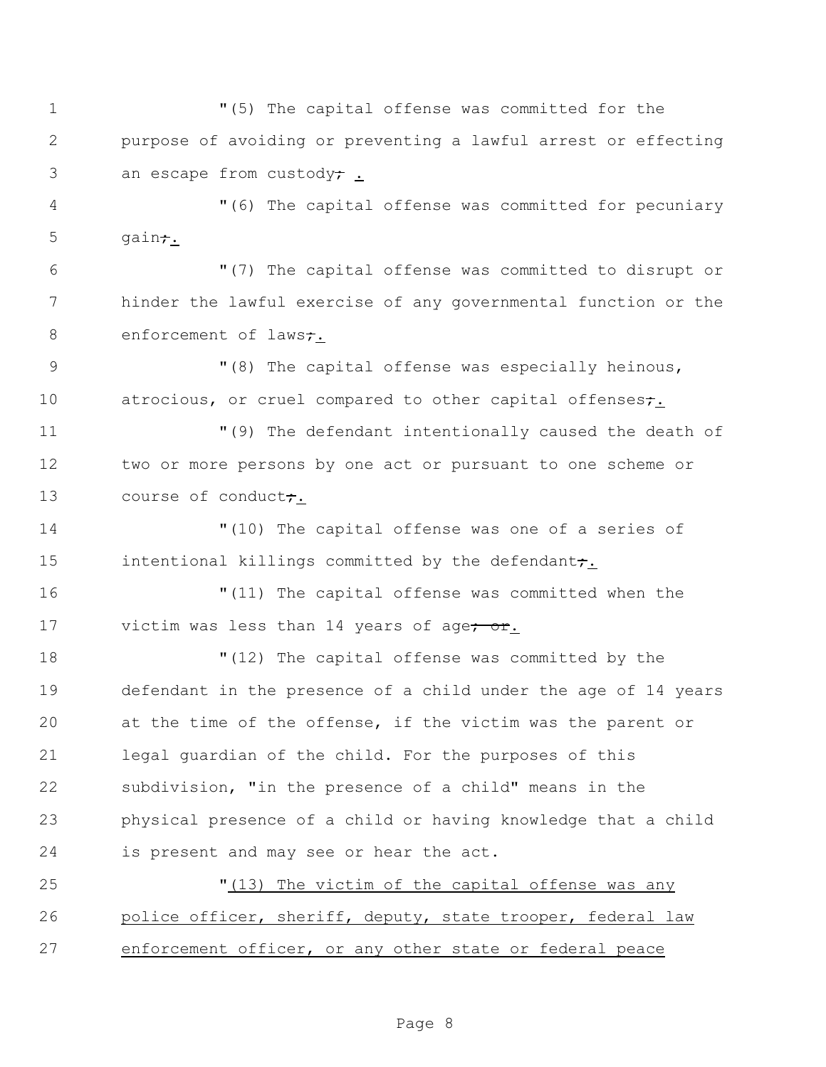"(5) The capital offense was committed for the purpose of avoiding or preventing a lawful arrest or effecting 3 an escape from custody; "(6) The capital offense was committed for pecuniary gain $\tau$ . "(7) The capital offense was committed to disrupt or hinder the lawful exercise of any governmental function or the 8 enforcement of laws<del>;</del>. 9 The capital offense was especially heinous, 10 atrocious, or cruel compared to other capital offenses; "(9) The defendant intentionally caused the death of two or more persons by one act or pursuant to one scheme or 13 course of conduct; "(10) The capital offense was one of a series of 15 intentional killings committed by the defendant<del>;</del>. "(11) The capital offense was committed when the 17 victim was less than 14 years of age<del>; or</del>. "(12) The capital offense was committed by the defendant in the presence of a child under the age of 14 years at the time of the offense, if the victim was the parent or legal guardian of the child. For the purposes of this subdivision, "in the presence of a child" means in the physical presence of a child or having knowledge that a child is present and may see or hear the act. "(13) The victim of the capital offense was any 26 police officer, sheriff, deputy, state trooper, federal law enforcement officer, or any other state or federal peace